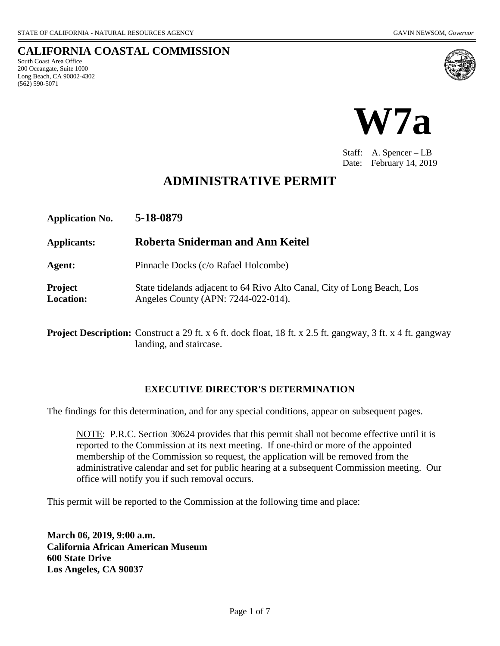South Coast Area Office 200 Oceangate, Suite 1000 Long Beach, CA 90802-4302

(562) 590-5071

**CALIFORNIA COASTAL COMMISSION**



Staff: A. Spencer – LB Date: February 14, 2019

## **ADMINISTRATIVE PERMIT**

| <b>Application No.</b>             | 5-18-0879                                                                                                      |
|------------------------------------|----------------------------------------------------------------------------------------------------------------|
| Applicants:                        | Roberta Sniderman and Ann Keitel                                                                               |
| Agent:                             | Pinnacle Docks (c/o Rafael Holcombe)                                                                           |
| <b>Project</b><br><b>Location:</b> | State tidelands adjacent to 64 Rivo Alto Canal, City of Long Beach, Los<br>Angeles County (APN: 7244-022-014). |

**Project Description:** Construct a 29 ft. x 6 ft. dock float, 18 ft. x 2.5 ft. gangway, 3 ft. x 4 ft. gangway landing, and staircase.

#### **EXECUTIVE DIRECTOR'S DETERMINATION**

The findings for this determination, and for any special conditions, appear on subsequent pages.

NOTE: P.R.C. Section 30624 provides that this permit shall not become effective until it is reported to the Commission at its next meeting. If one-third or more of the appointed membership of the Commission so request, the application will be removed from the administrative calendar and set for public hearing at a subsequent Commission meeting. Our office will notify you if such removal occurs.

This permit will be reported to the Commission at the following time and place:

**March 06, 2019, 9:00 a.m. California African American Museum 600 State Drive Los Angeles, CA 90037**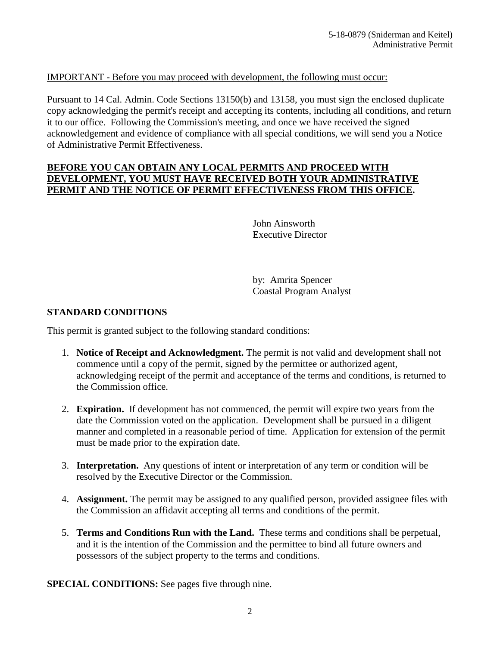### IMPORTANT - Before you may proceed with development, the following must occur:

Pursuant to 14 Cal. Admin. Code Sections 13150(b) and 13158, you must sign the enclosed duplicate copy acknowledging the permit's receipt and accepting its contents, including all conditions, and return it to our office. Following the Commission's meeting, and once we have received the signed acknowledgement and evidence of compliance with all special conditions, we will send you a Notice of Administrative Permit Effectiveness.

#### **BEFORE YOU CAN OBTAIN ANY LOCAL PERMITS AND PROCEED WITH DEVELOPMENT, YOU MUST HAVE RECEIVED BOTH YOUR ADMINISTRATIVE PERMIT AND THE NOTICE OF PERMIT EFFECTIVENESS FROM THIS OFFICE.**

John Ainsworth Executive Director

by: Amrita Spencer Coastal Program Analyst

#### **STANDARD CONDITIONS**

This permit is granted subject to the following standard conditions:

- 1. **Notice of Receipt and Acknowledgment.** The permit is not valid and development shall not commence until a copy of the permit, signed by the permittee or authorized agent, acknowledging receipt of the permit and acceptance of the terms and conditions, is returned to the Commission office.
- 2. **Expiration.** If development has not commenced, the permit will expire two years from the date the Commission voted on the application. Development shall be pursued in a diligent manner and completed in a reasonable period of time. Application for extension of the permit must be made prior to the expiration date.
- 3. **Interpretation.** Any questions of intent or interpretation of any term or condition will be resolved by the Executive Director or the Commission.
- 4. **Assignment.** The permit may be assigned to any qualified person, provided assignee files with the Commission an affidavit accepting all terms and conditions of the permit.
- 5. **Terms and Conditions Run with the Land.** These terms and conditions shall be perpetual, and it is the intention of the Commission and the permittee to bind all future owners and possessors of the subject property to the terms and conditions.

**SPECIAL CONDITIONS:** See pages five through nine.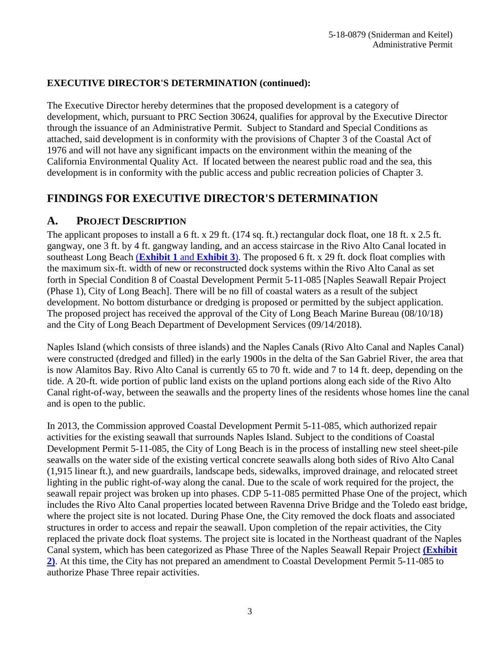## **EXECUTIVE DIRECTOR'S DETERMINATION (continued):**

The Executive Director hereby determines that the proposed development is a category of development, which, pursuant to PRC Section 30624, qualifies for approval by the Executive Director through the issuance of an Administrative Permit. Subject to Standard and Special Conditions as attached, said development is in conformity with the provisions of Chapter 3 of the Coastal Act of 1976 and will not have any significant impacts on the environment within the meaning of the California Environmental Quality Act. If located between the nearest public road and the sea, this development is in conformity with the public access and public recreation policies of Chapter 3.

# **FINDINGS FOR EXECUTIVE DIRECTOR'S DETERMINATION**

## **A. PROJECT DESCRIPTION**

The applicant proposes to install a 6 ft. x 29 ft. (174 sq. ft.) rectangular dock float, one 18 ft. x 2.5 ft. gangway, one 3 ft. by 4 ft. gangway landing, and an access staircase in the Rivo Alto Canal located in southeast Long Beach (**[Exhibit 1](https://documents.coastal.ca.gov/reports/2019/3/w7a/w7a-3-2019-exhibits.pdf)** and **Exhibit 3**). The proposed 6 ft. x 29 ft. dock float complies with the maximum six-ft. width of new or reconstructed dock systems within the Rivo Alto Canal as set forth in Special Condition 8 of Coastal Development Permit 5-11-085 [Naples Seawall Repair Project (Phase 1), City of Long Beach]. There will be no fill of coastal waters as a result of the subject development. No bottom disturbance or dredging is proposed or permitted by the subject application. The proposed project has received the approval of the City of Long Beach Marine Bureau (08/10/18) and the City of Long Beach Department of Development Services (09/14/2018).

Naples Island (which consists of three islands) and the Naples Canals (Rivo Alto Canal and Naples Canal) were constructed (dredged and filled) in the early 1900s in the delta of the San Gabriel River, the area that is now Alamitos Bay. Rivo Alto Canal is currently 65 to 70 ft. wide and 7 to 14 ft. deep, depending on the tide. A 20-ft. wide portion of public land exists on the upland portions along each side of the Rivo Alto Canal right-of-way, between the seawalls and the property lines of the residents whose homes line the canal and is open to the public.

In 2013, the Commission approved Coastal Development Permit 5-11-085, which authorized repair activities for the existing seawall that surrounds Naples Island. Subject to the conditions of Coastal Development Permit 5-11-085, the City of Long Beach is in the process of installing new steel sheet-pile seawalls on the water side of the existing vertical concrete seawalls along both sides of Rivo Alto Canal (1,915 linear ft.), and new guardrails, landscape beds, sidewalks, improved drainage, and relocated street lighting in the public right-of-way along the canal. Due to the scale of work required for the project, the seawall repair project was broken up into phases. CDP 5-11-085 permitted Phase One of the project, which includes the Rivo Alto Canal properties located between Ravenna Drive Bridge and the Toledo east bridge, where the project site is not located. During Phase One, the City removed the dock floats and associated structures in order to access and repair the seawall. Upon completion of the repair activities, the City replaced the private dock float systems. The project site is located in the Northeast quadrant of the Naples Canal system, which has been categorized as Phase Three of the Naples Seawall Repair Project **[\(Exhibit](https://documents.coastal.ca.gov/reports/2019/3/w7a/w7a-3-2019-exhibits.pdf)  [2\)](https://documents.coastal.ca.gov/reports/2019/3/w7a/w7a-3-2019-exhibits.pdf)**. At this time, the City has not prepared an amendment to Coastal Development Permit 5-11-085 to authorize Phase Three repair activities.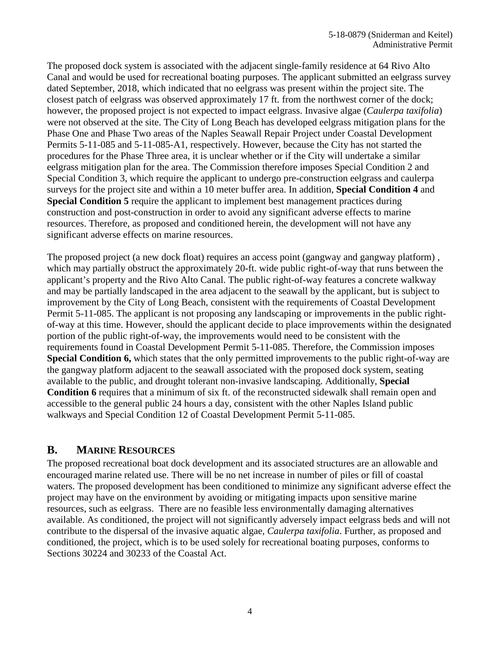The proposed dock system is associated with the adjacent single-family residence at 64 Rivo Alto Canal and would be used for recreational boating purposes. The applicant submitted an eelgrass survey dated September, 2018, which indicated that no eelgrass was present within the project site. The closest patch of eelgrass was observed approximately 17 ft. from the northwest corner of the dock; however, the proposed project is not expected to impact eelgrass. Invasive algae (*Caulerpa taxifolia*) were not observed at the site. The City of Long Beach has developed eelgrass mitigation plans for the Phase One and Phase Two areas of the Naples Seawall Repair Project under Coastal Development Permits 5-11-085 and 5-11-085-A1, respectively. However, because the City has not started the procedures for the Phase Three area, it is unclear whether or if the City will undertake a similar eelgrass mitigation plan for the area. The Commission therefore imposes Special Condition 2 and Special Condition 3, which require the applicant to undergo pre-construction eelgrass and caulerpa surveys for the project site and within a 10 meter buffer area. In addition, **Special Condition 4** and **Special Condition 5** require the applicant to implement best management practices during construction and post-construction in order to avoid any significant adverse effects to marine resources. Therefore, as proposed and conditioned herein, the development will not have any significant adverse effects on marine resources.

The proposed project (a new dock float) requires an access point (gangway and gangway platform) , which may partially obstruct the approximately 20-ft. wide public right-of-way that runs between the applicant's property and the Rivo Alto Canal. The public right-of-way features a concrete walkway and may be partially landscaped in the area adjacent to the seawall by the applicant, but is subject to improvement by the City of Long Beach, consistent with the requirements of Coastal Development Permit 5-11-085. The applicant is not proposing any landscaping or improvements in the public rightof-way at this time. However, should the applicant decide to place improvements within the designated portion of the public right-of-way, the improvements would need to be consistent with the requirements found in Coastal Development Permit 5-11-085. Therefore, the Commission imposes **Special Condition 6,** which states that the only permitted improvements to the public right-of-way are the gangway platform adjacent to the seawall associated with the proposed dock system, seating available to the public, and drought tolerant non-invasive landscaping. Additionally, **Special Condition 6** requires that a minimum of six ft. of the reconstructed sidewalk shall remain open and accessible to the general public 24 hours a day, consistent with the other Naples Island public walkways and Special Condition 12 of Coastal Development Permit 5-11-085.

## **B. MARINE RESOURCES**

The proposed recreational boat dock development and its associated structures are an allowable and encouraged marine related use. There will be no net increase in number of piles or fill of coastal waters. The proposed development has been conditioned to minimize any significant adverse effect the project may have on the environment by avoiding or mitigating impacts upon sensitive marine resources, such as eelgrass. There are no feasible less environmentally damaging alternatives available. As conditioned, the project will not significantly adversely impact eelgrass beds and will not contribute to the dispersal of the invasive aquatic algae, *Caulerpa taxifolia*. Further, as proposed and conditioned, the project, which is to be used solely for recreational boating purposes, conforms to Sections 30224 and 30233 of the Coastal Act.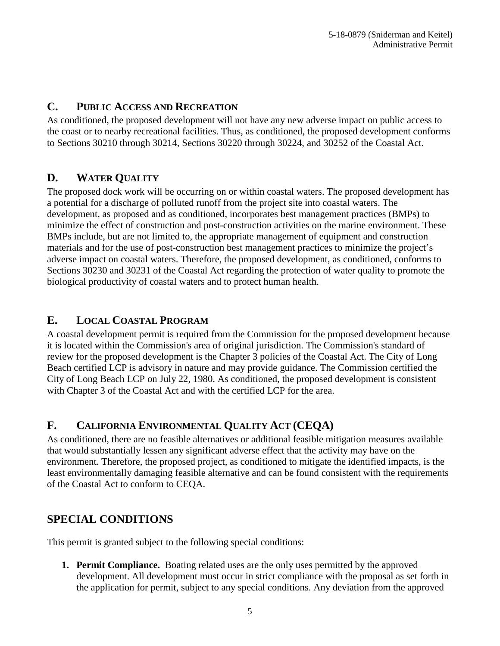## **C. PUBLIC ACCESS AND RECREATION**

As conditioned, the proposed development will not have any new adverse impact on public access to the coast or to nearby recreational facilities. Thus, as conditioned, the proposed development conforms to Sections 30210 through 30214, Sections 30220 through 30224, and 30252 of the Coastal Act.

## **D. WATER QUALITY**

The proposed dock work will be occurring on or within coastal waters. The proposed development has a potential for a discharge of polluted runoff from the project site into coastal waters. The development, as proposed and as conditioned, incorporates best management practices (BMPs) to minimize the effect of construction and post-construction activities on the marine environment. These BMPs include, but are not limited to, the appropriate management of equipment and construction materials and for the use of post-construction best management practices to minimize the project's adverse impact on coastal waters. Therefore, the proposed development, as conditioned, conforms to Sections 30230 and 30231 of the Coastal Act regarding the protection of water quality to promote the biological productivity of coastal waters and to protect human health.

## **E. LOCAL COASTAL PROGRAM**

A coastal development permit is required from the Commission for the proposed development because it is located within the Commission's area of original jurisdiction. The Commission's standard of review for the proposed development is the Chapter 3 policies of the Coastal Act. The City of Long Beach certified LCP is advisory in nature and may provide guidance. The Commission certified the City of Long Beach LCP on July 22, 1980. As conditioned, the proposed development is consistent with Chapter 3 of the Coastal Act and with the certified LCP for the area.

# **F. CALIFORNIA ENVIRONMENTAL QUALITY ACT (CEQA)**

As conditioned, there are no feasible alternatives or additional feasible mitigation measures available that would substantially lessen any significant adverse effect that the activity may have on the environment. Therefore, the proposed project, as conditioned to mitigate the identified impacts, is the least environmentally damaging feasible alternative and can be found consistent with the requirements of the Coastal Act to conform to CEQA.

# **SPECIAL CONDITIONS**

This permit is granted subject to the following special conditions:

**1. Permit Compliance.** Boating related uses are the only uses permitted by the approved development. All development must occur in strict compliance with the proposal as set forth in the application for permit, subject to any special conditions. Any deviation from the approved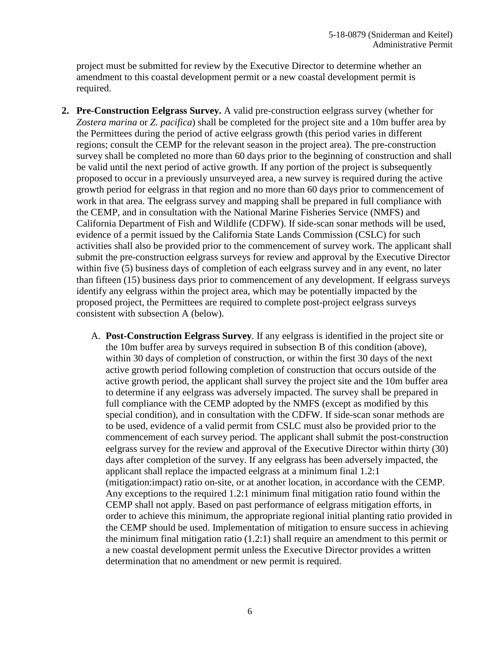project must be submitted for review by the Executive Director to determine whether an amendment to this coastal development permit or a new coastal development permit is required.

- **2. Pre-Construction Eelgrass Survey.** A valid pre-construction eelgrass survey (whether for *Zostera marina* or *Z. pacifica*) shall be completed for the project site and a 10m buffer area by the Permittees during the period of active eelgrass growth (this period varies in different regions; consult the CEMP for the relevant season in the project area). The pre-construction survey shall be completed no more than 60 days prior to the beginning of construction and shall be valid until the next period of active growth. If any portion of the project is subsequently proposed to occur in a previously unsurveyed area, a new survey is required during the active growth period for eelgrass in that region and no more than 60 days prior to commencement of work in that area. The eelgrass survey and mapping shall be prepared in full compliance with the CEMP, and in consultation with the National Marine Fisheries Service (NMFS) and California Department of Fish and Wildlife (CDFW). If side-scan sonar methods will be used, evidence of a permit issued by the California State Lands Commission (CSLC) for such activities shall also be provided prior to the commencement of survey work. The applicant shall submit the pre-construction eelgrass surveys for review and approval by the Executive Director within five (5) business days of completion of each eelgrass survey and in any event, no later than fifteen (15) business days prior to commencement of any development. If eelgrass surveys identify any eelgrass within the project area, which may be potentially impacted by the proposed project, the Permittees are required to complete post-project eelgrass surveys consistent with subsection A (below).
	- A. **Post-Construction Eelgrass Survey**. If any eelgrass is identified in the project site or the 10m buffer area by surveys required in subsection B of this condition (above), within 30 days of completion of construction, or within the first 30 days of the next active growth period following completion of construction that occurs outside of the active growth period, the applicant shall survey the project site and the 10m buffer area to determine if any eelgrass was adversely impacted. The survey shall be prepared in full compliance with the CEMP adopted by the NMFS (except as modified by this special condition), and in consultation with the CDFW. If side-scan sonar methods are to be used, evidence of a valid permit from CSLC must also be provided prior to the commencement of each survey period. The applicant shall submit the post-construction eelgrass survey for the review and approval of the Executive Director within thirty (30) days after completion of the survey. If any eelgrass has been adversely impacted, the applicant shall replace the impacted eelgrass at a minimum final 1.2:1 (mitigation:impact) ratio on-site, or at another location, in accordance with the CEMP. Any exceptions to the required 1.2:1 minimum final mitigation ratio found within the CEMP shall not apply. Based on past performance of eelgrass mitigation efforts, in order to achieve this minimum, the appropriate regional initial planting ratio provided in the CEMP should be used. Implementation of mitigation to ensure success in achieving the minimum final mitigation ratio (1.2:1) shall require an amendment to this permit or a new coastal development permit unless the Executive Director provides a written determination that no amendment or new permit is required.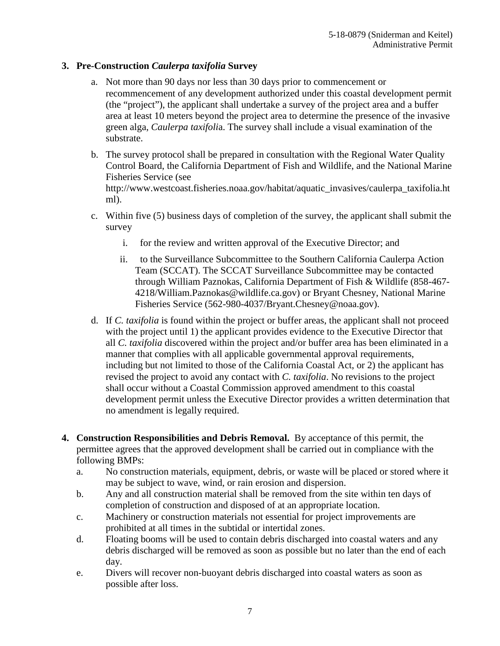## **3. Pre-Construction** *Caulerpa taxifolia* **Survey**

- a. Not more than 90 days nor less than 30 days prior to commencement or recommencement of any development authorized under this coastal development permit (the "project"), the applicant shall undertake a survey of the project area and a buffer area at least 10 meters beyond the project area to determine the presence of the invasive green alga, *Caulerpa taxifoli*a. The survey shall include a visual examination of the substrate.
- b. The survey protocol shall be prepared in consultation with the Regional Water Quality Control Board, the California Department of Fish and Wildlife, and the National Marine Fisheries Service (see http://www.westcoast.fisheries.noaa.gov/habitat/aquatic\_invasives/caulerpa\_taxifolia.ht ml).
- c. Within five (5) business days of completion of the survey, the applicant shall submit the survey
	- i. for the review and written approval of the Executive Director; and
	- ii. to the Surveillance Subcommittee to the Southern California Caulerpa Action Team (SCCAT). The SCCAT Surveillance Subcommittee may be contacted through William Paznokas, California Department of Fish & Wildlife (858-467- 4218/William.Paznokas@wildlife.ca.gov) or Bryant Chesney, National Marine Fisheries Service (562-980-4037/Bryant.Chesney@noaa.gov).
- d. If *C. taxifolia* is found within the project or buffer areas, the applicant shall not proceed with the project until 1) the applicant provides evidence to the Executive Director that all *C. taxifolia* discovered within the project and/or buffer area has been eliminated in a manner that complies with all applicable governmental approval requirements, including but not limited to those of the California Coastal Act, or 2) the applicant has revised the project to avoid any contact with *C. taxifolia*. No revisions to the project shall occur without a Coastal Commission approved amendment to this coastal development permit unless the Executive Director provides a written determination that no amendment is legally required.
- **4. Construction Responsibilities and Debris Removal.** By acceptance of this permit, the permittee agrees that the approved development shall be carried out in compliance with the following BMPs:
	- a. No construction materials, equipment, debris, or waste will be placed or stored where it may be subject to wave, wind, or rain erosion and dispersion.
	- b. Any and all construction material shall be removed from the site within ten days of completion of construction and disposed of at an appropriate location.
	- c. Machinery or construction materials not essential for project improvements are prohibited at all times in the subtidal or intertidal zones.
	- d. Floating booms will be used to contain debris discharged into coastal waters and any debris discharged will be removed as soon as possible but no later than the end of each day.
	- e. Divers will recover non-buoyant debris discharged into coastal waters as soon as possible after loss.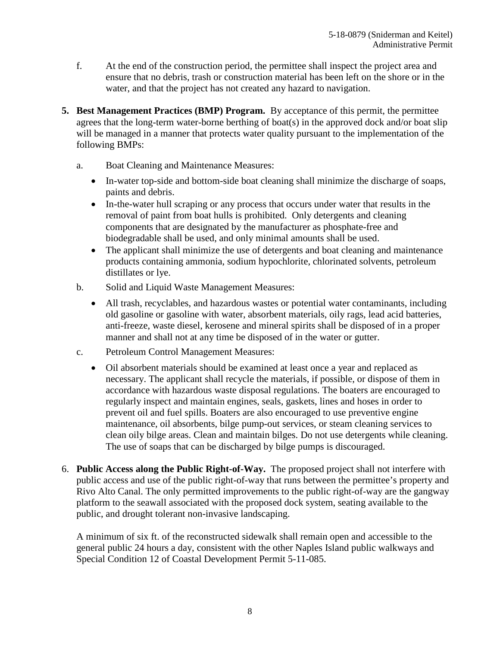- f. At the end of the construction period, the permittee shall inspect the project area and ensure that no debris, trash or construction material has been left on the shore or in the water, and that the project has not created any hazard to navigation.
- **5. Best Management Practices (BMP) Program.** By acceptance of this permit, the permittee agrees that the long-term water-borne berthing of boat(s) in the approved dock and/or boat slip will be managed in a manner that protects water quality pursuant to the implementation of the following BMPs:
	- a. Boat Cleaning and Maintenance Measures:
		- In-water top-side and bottom-side boat cleaning shall minimize the discharge of soaps, paints and debris.
		- In-the-water hull scraping or any process that occurs under water that results in the removal of paint from boat hulls is prohibited. Only detergents and cleaning components that are designated by the manufacturer as phosphate-free and biodegradable shall be used, and only minimal amounts shall be used.
		- The applicant shall minimize the use of detergents and boat cleaning and maintenance products containing ammonia, sodium hypochlorite, chlorinated solvents, petroleum distillates or lye.
	- b. Solid and Liquid Waste Management Measures:
		- All trash, recyclables, and hazardous wastes or potential water contaminants, including old gasoline or gasoline with water, absorbent materials, oily rags, lead acid batteries, anti-freeze, waste diesel, kerosene and mineral spirits shall be disposed of in a proper manner and shall not at any time be disposed of in the water or gutter.
	- c. Petroleum Control Management Measures:
		- Oil absorbent materials should be examined at least once a year and replaced as necessary. The applicant shall recycle the materials, if possible, or dispose of them in accordance with hazardous waste disposal regulations. The boaters are encouraged to regularly inspect and maintain engines, seals, gaskets, lines and hoses in order to prevent oil and fuel spills. Boaters are also encouraged to use preventive engine maintenance, oil absorbents, bilge pump-out services, or steam cleaning services to clean oily bilge areas. Clean and maintain bilges. Do not use detergents while cleaning. The use of soaps that can be discharged by bilge pumps is discouraged.
- 6. **Public Access along the Public Right-of-Way.** The proposed project shall not interfere with public access and use of the public right-of-way that runs between the permittee's property and Rivo Alto Canal. The only permitted improvements to the public right-of-way are the gangway platform to the seawall associated with the proposed dock system, seating available to the public, and drought tolerant non-invasive landscaping.

A minimum of six ft. of the reconstructed sidewalk shall remain open and accessible to the general public 24 hours a day, consistent with the other Naples Island public walkways and Special Condition 12 of Coastal Development Permit 5-11-085.